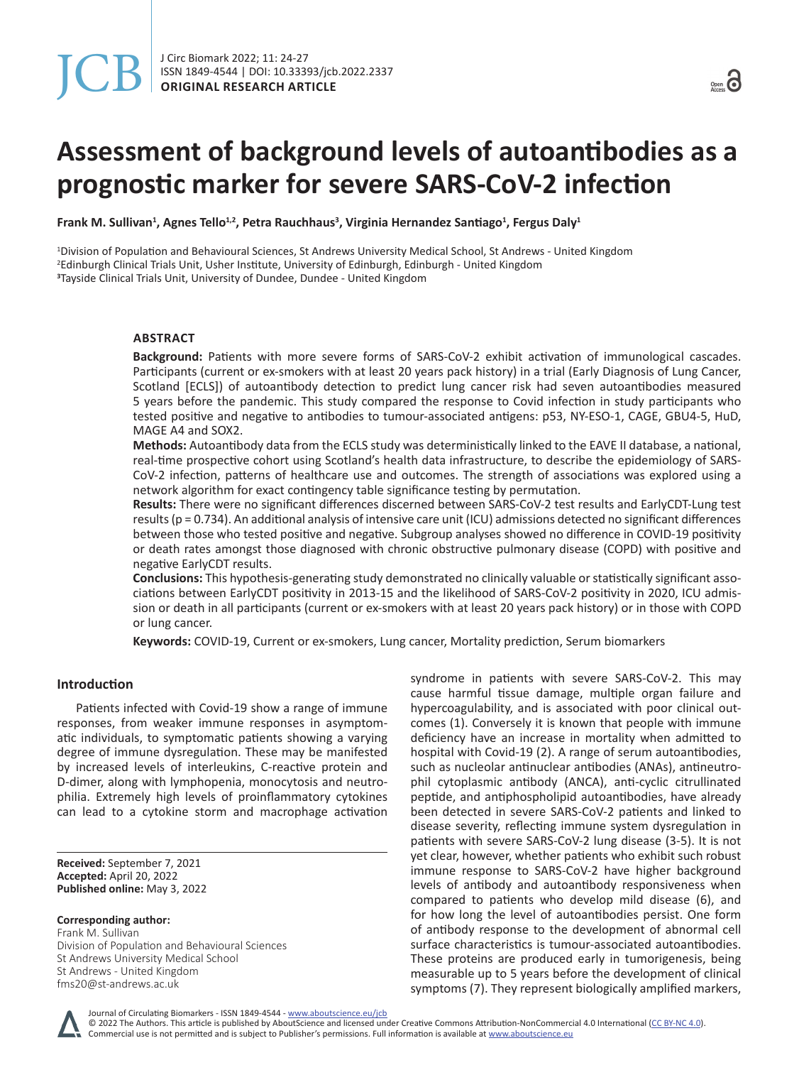# **Assessment of background levels of autoantibodies as a prognostic marker for severe SARS-CoV-2 infection**

**Frank M. Sullivan<sup>1</sup> , Agnes Tello1,2, Petra Rauchhaus3 , Virginia Hernandez Santiago<sup>1</sup> , Fergus Daly1**

1 Division of Population and Behavioural Sciences, St Andrews University Medical School, St Andrews - United Kingdom 2 Edinburgh Clinical Trials Unit, Usher Institute, University of Edinburgh, Edinburgh - United Kingdom **3** Tayside Clinical Trials Unit, University of Dundee, Dundee - United Kingdom

## **ABSTRACT**

**Background:** Patients with more severe forms of SARS-CoV-2 exhibit activation of immunological cascades. Participants (current or ex-smokers with at least 20 years pack history) in a trial (Early Diagnosis of Lung Cancer, Scotland [ECLS]) of autoantibody detection to predict lung cancer risk had seven autoantibodies measured 5 years before the pandemic. This study compared the response to Covid infection in study participants who tested positive and negative to antibodies to tumour-associated antigens: p53, NY-ESO-1, CAGE, GBU4-5, HuD, MAGE A4 and SOX2.

**Methods:** Autoantibody data from the ECLS study was deterministically linked to the EAVE II database, a national, real-time prospective cohort using Scotland's health data infrastructure, to describe the epidemiology of SARS-CoV-2 infection, patterns of healthcare use and outcomes. The strength of associations was explored using a network algorithm for exact contingency table significance testing by permutation.

**Results:** There were no significant differences discerned between SARS-CoV-2 test results and EarlyCDT-Lung test results (p = 0.734). An additional analysis of intensive care unit (ICU) admissions detected no significant differences between those who tested positive and negative. Subgroup analyses showed no difference in COVID-19 positivity or death rates amongst those diagnosed with chronic obstructive pulmonary disease (COPD) with positive and negative EarlyCDT results.

**Conclusions:** This hypothesis-generating study demonstrated no clinically valuable or statistically significant associations between EarlyCDT positivity in 2013-15 and the likelihood of SARS-CoV-2 positivity in 2020, ICU admission or death in all participants (current or ex-smokers with at least 20 years pack history) or in those with COPD or lung cancer.

**Keywords:** COVID-19, Current or ex-smokers, Lung cancer, Mortality prediction, Serum biomarkers

## **Introduction**

Patients infected with Covid-19 show a range of immune responses, from weaker immune responses in asymptomatic individuals, to symptomatic patients showing a varying degree of immune dysregulation. These may be manifested by increased levels of interleukins, C-reactive protein and D-dimer, along with lymphopenia, monocytosis and neutrophilia. Extremely high levels of proinflammatory cytokines can lead to a cytokine storm and macrophage activation

**Received:** September 7, 2021 **Accepted:** April 20, 2022 **Published online:** May 3, 2022

**Corresponding author:** Frank M. Sullivan Division of Population and Behavioural Sciences St Andrews University Medical School St Andrews - United Kingdom [fms20@st-andrews.ac.uk](mailto:fms20@st-andrews.ac.uk)

syndrome in patients with severe SARS-CoV-2. This may cause harmful tissue damage, multiple organ failure and hypercoagulability, and is associated with poor clinical outcomes (1). Conversely it is known that people with immune deficiency have an increase in mortality when admitted to hospital with Covid-19 (2). A range of serum autoantibodies, such as nucleolar antinuclear antibodies (ANAs), antineutrophil cytoplasmic antibody (ANCA), anti-cyclic citrullinated peptide, and antiphospholipid autoantibodies, have already been detected in severe SARS-CoV-2 patients and linked to disease severity, reflecting immune system dysregulation in patients with severe SARS-CoV-2 lung disease (3-5). It is not yet clear, however, whether patients who exhibit such robust immune response to SARS-CoV-2 have higher background levels of antibody and autoantibody responsiveness when compared to patients who develop mild disease (6), and for how long the level of autoantibodies persist. One form of antibody response to the development of abnormal cell surface characteristics is tumour-associated autoantibodies. These proteins are produced early in tumorigenesis, being measurable up to 5 years before the development of clinical symptoms (7). They represent biologically amplified markers,

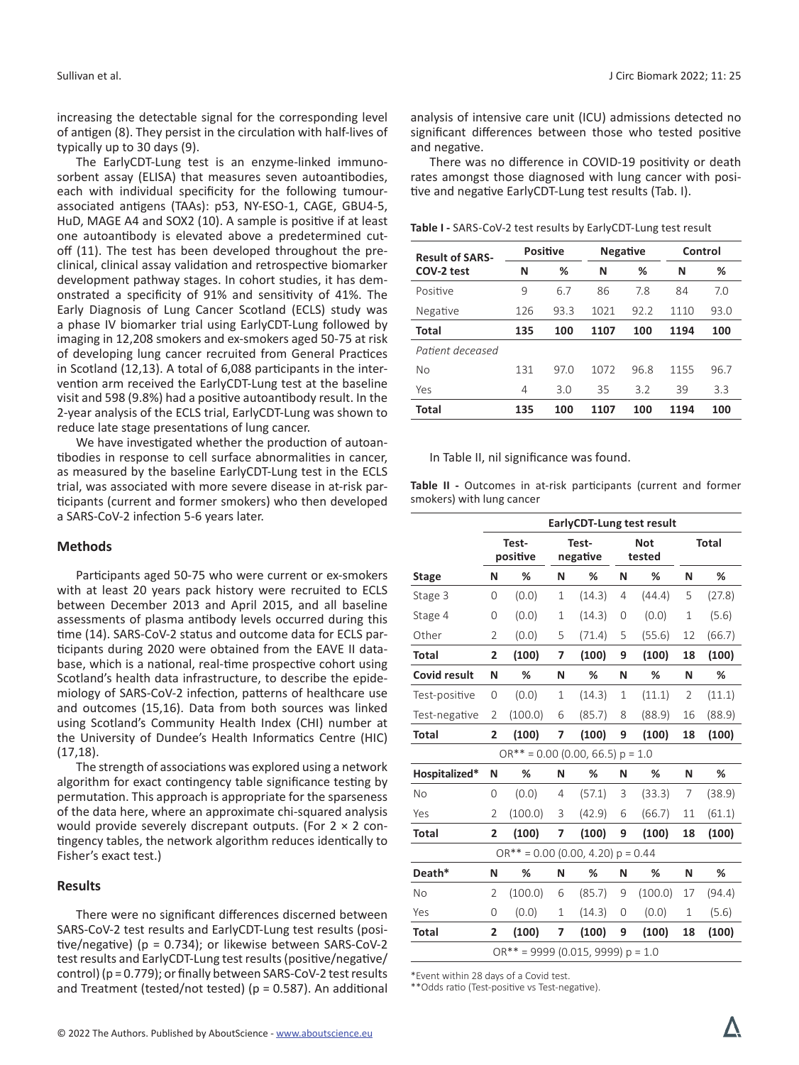increasing the detectable signal for the corresponding level of antigen (8). They persist in the circulation with half-lives of typically up to 30 days (9).

The EarlyCDT-Lung test is an enzyme-linked immunosorbent assay (ELISA) that measures seven autoantibodies, each with individual specificity for the following tumourassociated antigens (TAAs): p53, NY-ESO-1, CAGE, GBU4-5, HuD, MAGE A4 and SOX2 (10). A sample is positive if at least one autoantibody is elevated above a predetermined cutoff (11). The test has been developed throughout the preclinical, clinical assay validation and retrospective biomarker development pathway stages. In cohort studies, it has demonstrated a specificity of 91% and sensitivity of 41%. The Early Diagnosis of Lung Cancer Scotland (ECLS) study was a phase IV biomarker trial using EarlyCDT-Lung followed by imaging in 12,208 smokers and ex-smokers aged 50-75 at risk of developing lung cancer recruited from General Practices in Scotland (12,13). A total of 6,088 participants in the intervention arm received the EarlyCDT-Lung test at the baseline visit and 598 (9.8%) had a positive autoantibody result. In the 2-year analysis of the ECLS trial, EarlyCDT-Lung was shown to reduce late stage presentations of lung cancer.

We have investigated whether the production of autoantibodies in response to cell surface abnormalities in cancer, as measured by the baseline EarlyCDT-Lung test in the ECLS trial, was associated with more severe disease in at-risk participants (current and former smokers) who then developed a SARS-CoV-2 infection 5-6 years later.

## **Methods**

Participants aged 50-75 who were current or ex-smokers with at least 20 years pack history were recruited to ECLS between December 2013 and April 2015, and all baseline assessments of plasma antibody levels occurred during this time (14). SARS-CoV-2 status and outcome data for ECLS participants during 2020 were obtained from the EAVE II database, which is a national, real-time prospective cohort using Scotland's health data infrastructure, to describe the epidemiology of SARS-CoV-2 infection, patterns of healthcare use and outcomes (15,16). Data from both sources was linked using Scotland's Community Health Index (CHI) number at the University of Dundee's Health Informatics Centre (HIC) (17,18).

The strength of associations was explored using a network algorithm for exact contingency table significance testing by permutation. This approach is appropriate for the sparseness of the data here, where an approximate chi-squared analysis would provide severely discrepant outputs. (For  $2 \times 2$  contingency tables, the network algorithm reduces identically to Fisher's exact test.)

## **Results**

There were no significant differences discerned between SARS-CoV-2 test results and EarlyCDT-Lung test results (positive/negative) (p = 0.734); or likewise between SARS-CoV-2 test results and EarlyCDT-Lung test results (positive/negative/ control) (p = 0.779); or finally between SARS-CoV-2 test results and Treatment (tested/not tested) ( $p = 0.587$ ). An additional analysis of intensive care unit (ICU) admissions detected no significant differences between those who tested positive and negative.

There was no difference in COVID-19 positivity or death rates amongst those diagnosed with lung cancer with positive and negative EarlyCDT-Lung test results (Tab. I).

**Table I -** SARS-CoV-2 test results by EarlyCDT-Lung test result

| <b>Result of SARS-</b> | <b>Positive</b> |      | Negative |      | Control |      |  |
|------------------------|-----------------|------|----------|------|---------|------|--|
| COV-2 test             | N               | ℅    | N        | ℅    | Ν       | ℅    |  |
| Positive               | 9               | 6.7  | 86       | 7.8  | 84      | 7.0  |  |
| Negative               | 126             | 93.3 | 1021     | 92.2 | 1110    | 93.0 |  |
| <b>Total</b>           | 135             | 100  | 1107     | 100  | 1194    | 100  |  |
| Patient deceased       |                 |      |          |      |         |      |  |
| <b>No</b>              | 131             | 97.0 | 1072     | 96.8 | 1155    | 96.7 |  |
| Yes                    | 4               | 3.0  | 35       | 3.2  | 39      | 3.3  |  |
| Total                  | 135             | 100  | 1107     | 100  | 1194    | 100  |  |

In Table II, nil significance was found.

**Table II -** Outcomes in at-risk participants (current and former smokers) with lung cancer

|                                        | <b>EarlyCDT-Lung test result</b> |                                         |             |                   |                |                      |             |        |  |  |
|----------------------------------------|----------------------------------|-----------------------------------------|-------------|-------------------|----------------|----------------------|-------------|--------|--|--|
|                                        | Test-<br>positive                |                                         |             | Test-<br>negative |                | <b>Not</b><br>tested |             | Total  |  |  |
| <b>Stage</b>                           | N                                | %                                       | N           | %                 | N              | %                    | N           | %      |  |  |
| Stage 3                                | 0                                | (0.0)                                   | $\mathbf 1$ | (14.3)            | $\overline{4}$ | (44.4)               | 5           | (27.8) |  |  |
| Stage 4                                | 0                                | (0.0)                                   | 1           | (14.3)            | 0              | (0.0)                | 1           | (5.6)  |  |  |
| Other                                  | 2                                | (0.0)                                   | 5           | (71.4)            | 5              | (55.6)               | 12          | (66.7) |  |  |
| Total                                  | $\overline{2}$                   | (100)                                   | 7           | (100)             | 9              | (100)                | 18          | (100)  |  |  |
| <b>Covid result</b>                    | N                                | ℅                                       | Ν           | ℅                 | Ν              | %                    | N           | %      |  |  |
| Test-positive                          | 0                                | (0.0)                                   | 1           | (14.3)            | 1              | (11.1)               | 2           | (11.1) |  |  |
| Test-negative                          | $\overline{2}$                   | (100.0)                                 | 6           | (85.7)            | 8              | (88.9)               | 16          | (88.9) |  |  |
| Total                                  | $\overline{2}$                   | (100)                                   | 7           | (100)             | 9              | (100)                | 18          | (100)  |  |  |
|                                        |                                  | $OR^{**} = 0.00$ (0.00, 66.5) $p = 1.0$ |             |                   |                |                      |             |        |  |  |
| Hospitalized*                          | Ν                                | %                                       | N           | ℅                 | N              | %                    | N           | %      |  |  |
| No                                     | 0                                | (0.0)                                   | 4           | (57.1)            | 3              | (33.3)               | 7           | (38.9) |  |  |
| Yes                                    | 2                                | (100.0)                                 | 3           | (42.9)            | 6              | (66.7)               | 11          | (61.1) |  |  |
| Total                                  | $\overline{\mathbf{2}}$          | (100)                                   | 7           | (100)             | 9              | (100)                | 18          | (100)  |  |  |
| $OR^{**} = 0.00$ (0.00, 4.20) p = 0.44 |                                  |                                         |             |                   |                |                      |             |        |  |  |
| Death*                                 | N                                | %                                       | N           | %                 | N              | %                    | N           | %      |  |  |
| No                                     | 2                                | (100.0)                                 | 6           | (85.7)            | 9              | (100.0)              | 17          | (94.4) |  |  |
| Yes                                    | 0                                | (0.0)                                   | 1           | (14.3)            | 0              | (0.0)                | $\mathbf 1$ | (5.6)  |  |  |
| Total                                  | $\overline{2}$                   | (100)                                   | 7           | (100)             | 9              | (100)                | 18          | (100)  |  |  |
|                                        |                                  | $OR^{**} = 9999 (0.015, 9999) p = 1.0$  |             |                   |                |                      |             |        |  |  |

\*Event within 28 days of a Covid test.

\*\*Odds ratio (Test-positive vs Test-negative).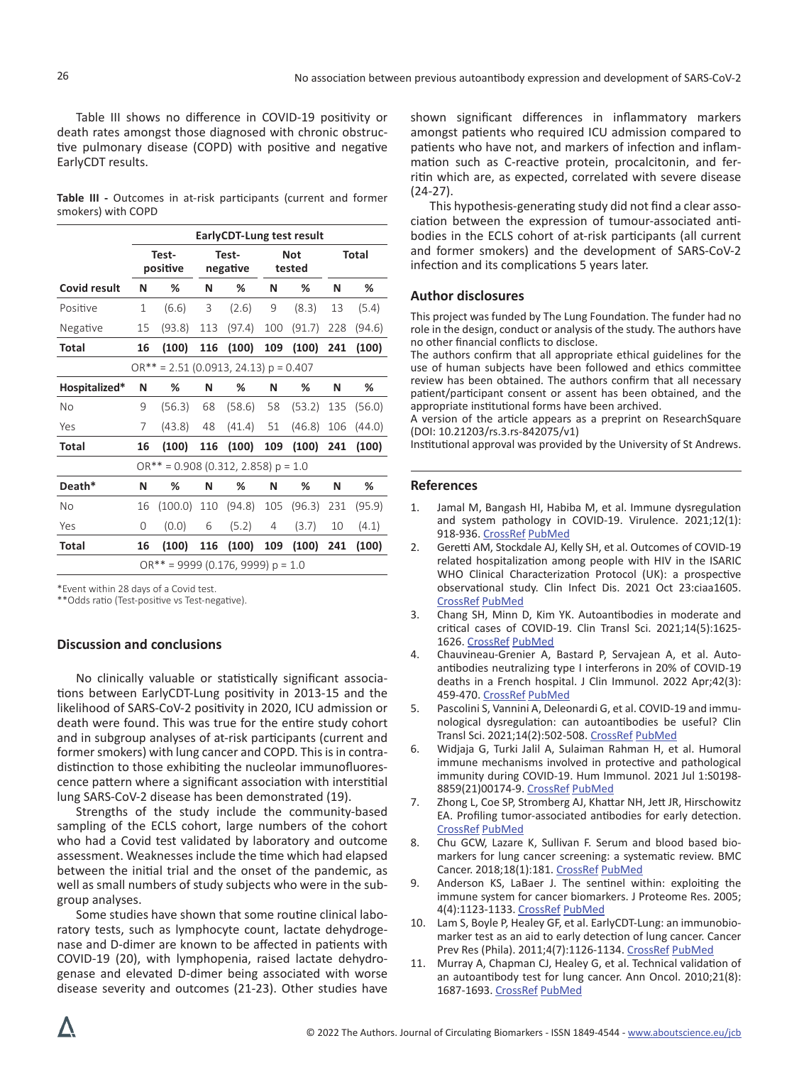Table III shows no difference in COVID-19 positivity or death rates amongst those diagnosed with chronic obstructive pulmonary disease (COPD) with positive and negative EarlyCDT results.

|                    |  | <b>Table III</b> - Outcomes in at-risk participants (current and former |  |  |
|--------------------|--|-------------------------------------------------------------------------|--|--|
| smokers) with COPD |  |                                                                         |  |  |

|               | EarlyCDT-Lung test result                  |                                            |                   |        |                      |        |       |        |  |  |
|---------------|--------------------------------------------|--------------------------------------------|-------------------|--------|----------------------|--------|-------|--------|--|--|
|               | Test-<br>positive                          |                                            | Test-<br>negative |        | <b>Not</b><br>tested |        | Total |        |  |  |
| Covid result  | N                                          | ℅                                          | N                 | ℅      | N                    | ℅      | N     | ℅      |  |  |
| Positive      | 1                                          | (6.6)                                      | 3                 | (2.6)  | 9                    | (8.3)  | 13    | (5.4)  |  |  |
| Negative      | 15                                         | (93.8)                                     | 113               | (97.4) | 100                  | (91.7) | 228   | (94.6) |  |  |
| Total         | 16                                         | (100)                                      | 116               | (100)  | 109                  | (100)  | 241   | (100)  |  |  |
|               | $OR^{**} = 2.51 (0.0913, 24.13) p = 0.407$ |                                            |                   |        |                      |        |       |        |  |  |
| Hospitalized* | N                                          | ℅                                          | N                 | %      | N                    | ℅      | N     | %      |  |  |
| No            | 9                                          | (56.3)                                     | 68                | (58.6) | 58                   | (53.2) | 135   | (56.0) |  |  |
| Yes           | 7                                          | (43.8)                                     | 48                | (41.4) | 51                   | (46.8) | 106   | (44.0) |  |  |
| Total         | 16                                         | (100)                                      | 116               | (100)  | 109                  | (100)  | 241   | (100)  |  |  |
|               |                                            | $OR^{**} = 0.908$ (0.312, 2.858) $p = 1.0$ |                   |        |                      |        |       |        |  |  |
| Death*        | N                                          | ℅                                          | N                 | ℅      | N                    | ℅      | N     | ℅      |  |  |
| No            | 16                                         | (100.0)                                    | 110               | (94.8) | 105                  | (96.3) | 231   | (95.9) |  |  |
| Yes           | 0                                          | (0.0)                                      | 6                 | (5.2)  | 4                    | (3.7)  | 10    | (4.1)  |  |  |
| Total         | 16                                         | (100)                                      | 116               | (100)  | 109                  | (100)  | 241   | (100)  |  |  |
|               |                                            | $OR***$ = 9999 (0.176, 9999) p = 1.0       |                   |        |                      |        |       |        |  |  |

\*Event within 28 days of a Covid test.

\*\*Odds ratio (Test-positive vs Test-negative).

## **Discussion and conclusions**

No clinically valuable or statistically significant associations between EarlyCDT-Lung positivity in 2013-15 and the likelihood of SARS-CoV-2 positivity in 2020, ICU admission or death were found. This was true for the entire study cohort and in subgroup analyses of at-risk participants (current and former smokers) with lung cancer and COPD. This is in contradistinction to those exhibiting the nucleolar immunofluorescence pattern where a significant association with interstitial lung SARS-CoV-2 disease has been demonstrated (19).

Strengths of the study include the community-based sampling of the ECLS cohort, large numbers of the cohort who had a Covid test validated by laboratory and outcome assessment. Weaknesses include the time which had elapsed between the initial trial and the onset of the pandemic, as well as small numbers of study subjects who were in the subgroup analyses.

Some studies have shown that some routine clinical laboratory tests, such as lymphocyte count, lactate dehydrogenase and D-dimer are known to be affected in patients with COVID-19 (20), with lymphopenia, raised lactate dehydrogenase and elevated D-dimer being associated with worse disease severity and outcomes (21-23). Other studies have shown significant differences in inflammatory markers amongst patients who required ICU admission compared to patients who have not, and markers of infection and inflammation such as C-reactive protein, procalcitonin, and ferritin which are, as expected, correlated with severe disease (24-27).

This hypothesis-generating study did not find a clear association between the expression of tumour-associated antibodies in the ECLS cohort of at-risk participants (all current and former smokers) and the development of SARS-CoV-2 infection and its complications 5 years later.

## **Author disclosures**

This project was funded by The Lung Foundation. The funder had no role in the design, conduct or analysis of the study. The authors have no other financial conflicts to disclose.

The authors confirm that all appropriate ethical guidelines for the use of human subjects have been followed and ethics committee review has been obtained. The authors confirm that all necessary patient/participant consent or assent has been obtained, and the appropriate institutional forms have been archived.

A version of the article appears as a preprint on ResearchSquare (DOI: [10.21203/rs.3.rs-842075/v1](https://doi.org/10.21203/rs.3.rs-842075/v1))

Institutional approval was provided by the University of St Andrews.

#### **References**

- 1. Jamal M, Bangash HI, Habiba M, et al. Immune dysregulation and system pathology in COVID-19. Virulence. 2021;12(1): 918-936. [CrossRef](https://doi.org/10.1080/21505594.2021.1898790) [PubMed](https://pubmed.ncbi.nlm.nih.gov/33757410/)
- 2. Geretti AM, Stockdale AJ, Kelly SH, et al. Outcomes of COVID-19 related hospitalization among people with HIV in the ISARIC WHO Clinical Characterization Protocol (UK): a prospective observational study. Clin Infect Dis. 2021 Oct 23:ciaa1605. [CrossRef](https://doi.org/10.1093/cid/ciaa1605) [PubMed](https://pubmed.ncbi.nlm.nih.gov/33095853/)
- 3. Chang SH, Minn D, Kim YK. Autoantibodies in moderate and critical cases of COVID-19. Clin Transl Sci. 2021;14(5):1625- 1626. [CrossRef](https://doi.org/10.1111/cts.13036) [PubMed](https://www.ncbi.nlm.nih.gov/pubmed/33934534)
- 4. Chauvineau-Grenier A, Bastard P, Servajean A, et al. Autoantibodies neutralizing type I interferons in 20% of COVID-19 deaths in a French hospital. J Clin Immunol. 2022 Apr;42(3): 459-470. [CrossRef](https://doi.org/10.1007/s10875-021-01203-3) [PubMed](https://pubmed.ncbi.nlm.nih.gov/35083626/)
- 5. Pascolini S, Vannini A, Deleonardi G, et al. COVID-19 and immunological dysregulation: can autoantibodies be useful? Clin Transl Sci. 2021;14(2):502-508. [CrossRef](https://doi.org/10.1111/cts.12908) [PubMed](https://www.ncbi.nlm.nih.gov/pubmed/32989903)
- 6. Widjaja G, Turki Jalil A, Sulaiman Rahman H, et al. Humoral immune mechanisms involved in protective and pathological immunity during COVID-19. Hum Immunol. 2021 Jul 1:S0198- 8859(21)00174-9. [CrossRef](https://doi.org/10.1016/j.humimm.2021.06.011) [PubMed](https://pubmed.ncbi.nlm.nih.gov/34229864/)
- 7. Zhong L, Coe SP, Stromberg AJ, Khattar NH, Jett JR, Hirschowitz EA. Profiling tumor-associated antibodies for early detection. [CrossRef](https://doi.org/10.1016/S1556-0864(15)30352-X) [PubMed](https://www.ncbi.nlm.nih.gov/pubmed/17409910)
- 8. Chu GCW, Lazare K, Sullivan F. Serum and blood based biomarkers for lung cancer screening: a systematic review. BMC Cancer. 2018;18(1):181. [CrossRef](https://doi.org/10.1186/s12885-018-4024-3) [PubMed](https://www.ncbi.nlm.nih.gov/pubmed/29439651)
- 9. Anderson KS, LaBaer J. The sentinel within: exploiting the immune system for cancer biomarkers. J Proteome Res. 2005; 4(4):1123-1133. [CrossRef](https://doi.org/10.1021/pr0500814) [PubMed](https://www.ncbi.nlm.nih.gov/pubmed/16083262)
- 10. Lam S, Boyle P, Healey GF, et al. EarlyCDT-Lung: an immunobiomarker test as an aid to early detection of lung cancer. Cancer Prev Res (Phila). 2011;4(7):1126-1134. [CrossRef](https://doi.org/10.1158/1940-6207.CAPR-10-0328) [PubMed](https://www.ncbi.nlm.nih.gov/pubmed/21733826)
- 11. Murray A, Chapman CJ, Healey G, et al. Technical validation of an autoantibody test for lung cancer. Ann Oncol. 2010;21(8): 1687-1693. [CrossRef](https://doi.org/10.1093/annonc/mdp606) [PubMed](https://www.ncbi.nlm.nih.gov/pubmed/20124350)